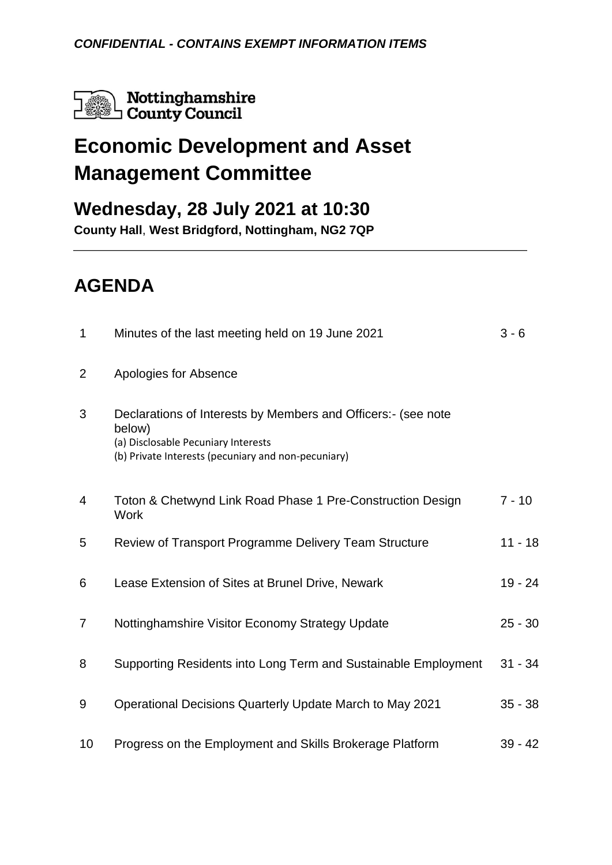

# **Economic Development and Asset Management Committee**

### **Wednesday, 28 July 2021 at 10:30**

**County Hall**, **West Bridgford, Nottingham, NG2 7QP**

## **AGENDA**

| 1              | Minutes of the last meeting held on 19 June 2021                                                                                                                      | $3 - 6$   |
|----------------|-----------------------------------------------------------------------------------------------------------------------------------------------------------------------|-----------|
| $\overline{2}$ | Apologies for Absence                                                                                                                                                 |           |
| 3              | Declarations of Interests by Members and Officers:- (see note<br>below)<br>(a) Disclosable Pecuniary Interests<br>(b) Private Interests (pecuniary and non-pecuniary) |           |
| $\overline{4}$ | Toton & Chetwynd Link Road Phase 1 Pre-Construction Design<br><b>Work</b>                                                                                             | $7 - 10$  |
| 5              | Review of Transport Programme Delivery Team Structure                                                                                                                 | $11 - 18$ |
| 6              | Lease Extension of Sites at Brunel Drive, Newark                                                                                                                      | 19 - 24   |
| $\overline{7}$ | Nottinghamshire Visitor Economy Strategy Update                                                                                                                       | $25 - 30$ |
| 8              | Supporting Residents into Long Term and Sustainable Employment                                                                                                        | $31 - 34$ |
| 9              | Operational Decisions Quarterly Update March to May 2021                                                                                                              | $35 - 38$ |
| 10             | Progress on the Employment and Skills Brokerage Platform                                                                                                              | $39 - 42$ |